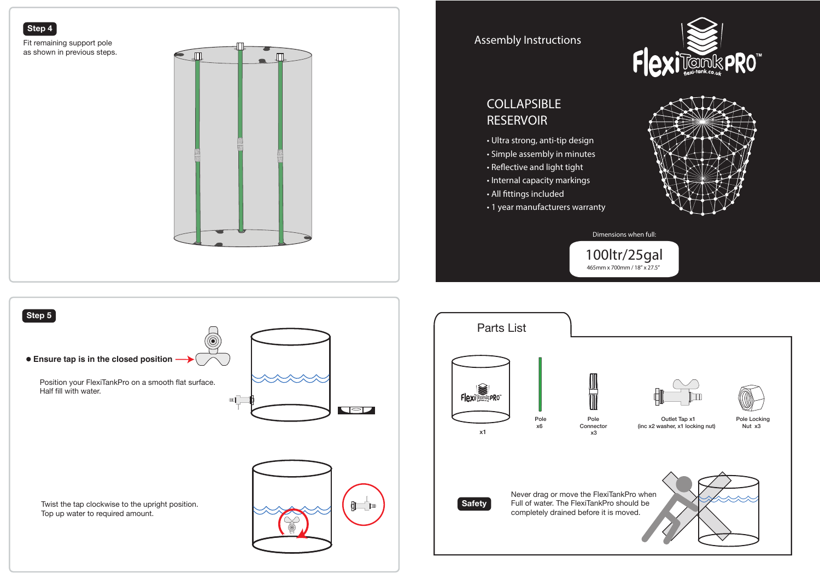



 $\approx$ 

**Safety**







Dimensions when full:

Twist the tap clockwise to the upright position.

Top up water to required amount.